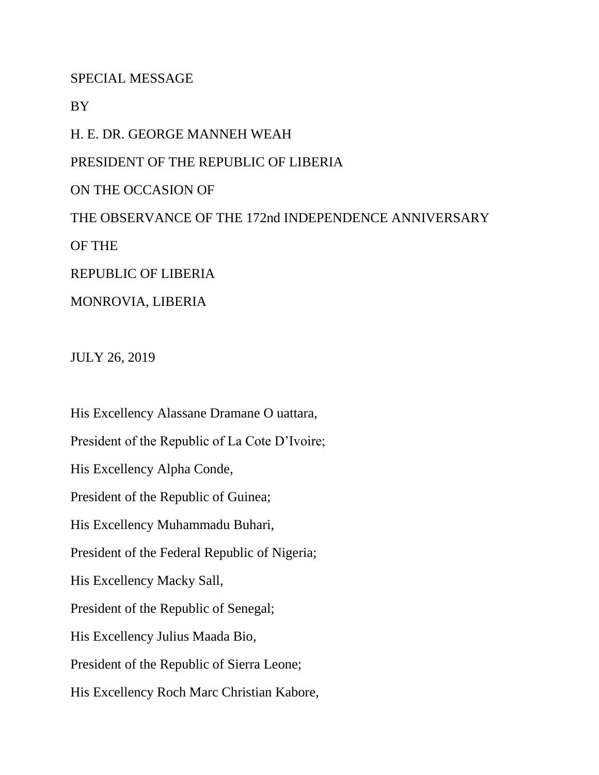SPECIAL MESSAGE

BY

H. E. DR. GEORGE MANNEH WEAH

PRESIDENT OF THE REPUBLIC OF LIBERIA

ON THE OCCASION OF

THE OBSERVANCE OF THE 172nd INDEPENDENCE ANNIVERSARY

OF THE

REPUBLIC OF LIBERIA

MONROVIA, LIBERIA

JULY 26, 2019

His Excellency Alassane Dramane O uattara, President of the Republic of La Cote D'Ivoire; His Excellency Alpha Conde, President of the Republic of Guinea; His Excellency Muhammadu Buhari, President of the Federal Republic of Nigeria; His Excellency Macky Sall, President of the Republic of Senegal; His Excellency Julius Maada Bio, President of the Republic of Sierra Leone; His Excellency Roch Marc Christian Kabore,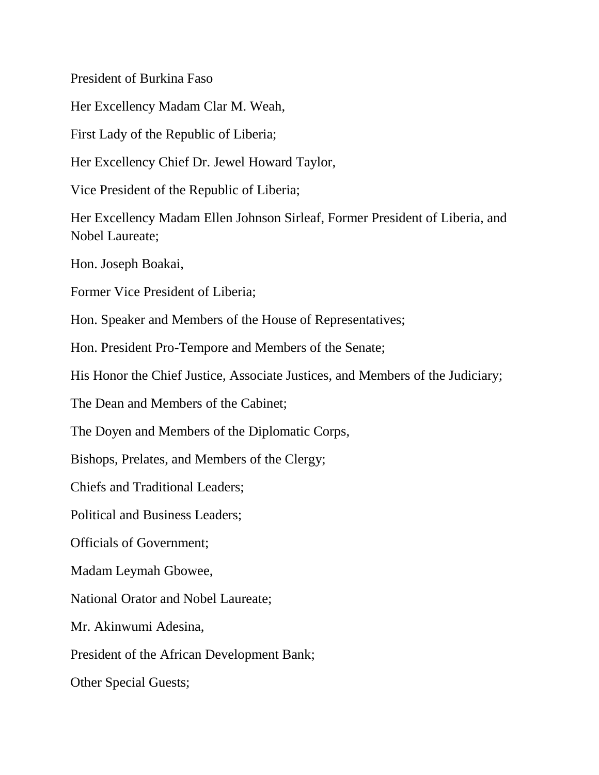President of Burkina Faso

Her Excellency Madam Clar M. Weah,

First Lady of the Republic of Liberia;

Her Excellency Chief Dr. Jewel Howard Taylor,

Vice President of the Republic of Liberia;

Her Excellency Madam Ellen Johnson Sirleaf, Former President of Liberia, and Nobel Laureate;

Hon. Joseph Boakai,

Former Vice President of Liberia;

Hon. Speaker and Members of the House of Representatives;

Hon. President Pro-Tempore and Members of the Senate;

His Honor the Chief Justice, Associate Justices, and Members of the Judiciary;

The Dean and Members of the Cabinet;

The Doyen and Members of the Diplomatic Corps,

Bishops, Prelates, and Members of the Clergy;

Chiefs and Traditional Leaders;

Political and Business Leaders;

Officials of Government;

Madam Leymah Gbowee,

National Orator and Nobel Laureate;

Mr. Akinwumi Adesina,

President of the African Development Bank;

Other Special Guests;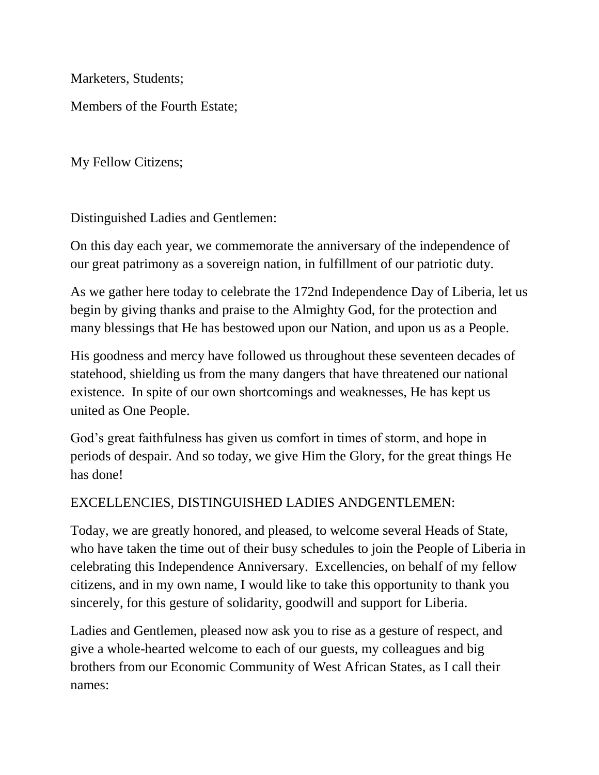Marketers, Students; Members of the Fourth Estate;

My Fellow Citizens;

Distinguished Ladies and Gentlemen:

On this day each year, we commemorate the anniversary of the independence of our great patrimony as a sovereign nation, in fulfillment of our patriotic duty.

As we gather here today to celebrate the 172nd Independence Day of Liberia, let us begin by giving thanks and praise to the Almighty God, for the protection and many blessings that He has bestowed upon our Nation, and upon us as a People.

His goodness and mercy have followed us throughout these seventeen decades of statehood, shielding us from the many dangers that have threatened our national existence. In spite of our own shortcomings and weaknesses, He has kept us united as One People.

God's great faithfulness has given us comfort in times of storm, and hope in periods of despair. And so today, we give Him the Glory, for the great things He has done!

## EXCELLENCIES, DISTINGUISHED LADIES ANDGENTLEMEN:

Today, we are greatly honored, and pleased, to welcome several Heads of State, who have taken the time out of their busy schedules to join the People of Liberia in celebrating this Independence Anniversary. Excellencies, on behalf of my fellow citizens, and in my own name, I would like to take this opportunity to thank you sincerely, for this gesture of solidarity, goodwill and support for Liberia.

Ladies and Gentlemen, pleased now ask you to rise as a gesture of respect, and give a whole-hearted welcome to each of our guests, my colleagues and big brothers from our Economic Community of West African States, as I call their names: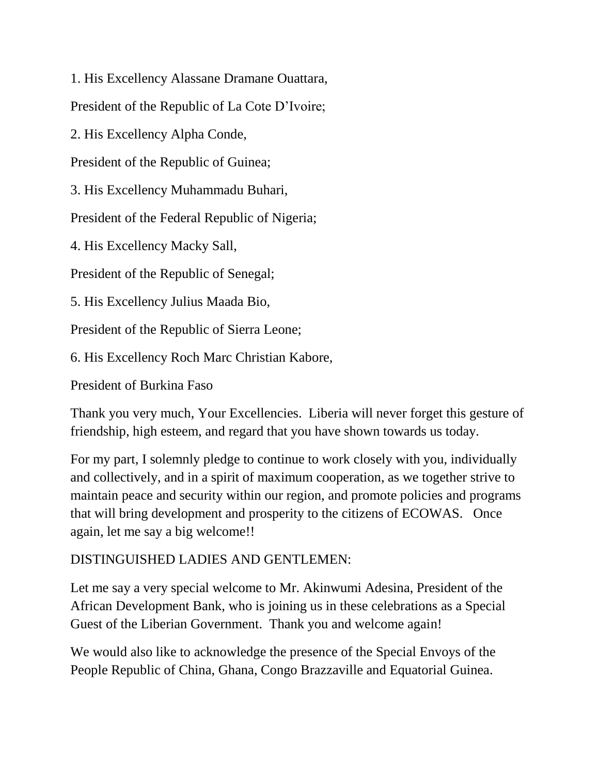1. His Excellency Alassane Dramane Ouattara,

President of the Republic of La Cote D'Ivoire;

2. His Excellency Alpha Conde,

President of the Republic of Guinea;

3. His Excellency Muhammadu Buhari,

President of the Federal Republic of Nigeria;

4. His Excellency Macky Sall,

President of the Republic of Senegal;

5. His Excellency Julius Maada Bio,

President of the Republic of Sierra Leone;

6. His Excellency Roch Marc Christian Kabore,

President of Burkina Faso

Thank you very much, Your Excellencies. Liberia will never forget this gesture of friendship, high esteem, and regard that you have shown towards us today.

For my part, I solemnly pledge to continue to work closely with you, individually and collectively, and in a spirit of maximum cooperation, as we together strive to maintain peace and security within our region, and promote policies and programs that will bring development and prosperity to the citizens of ECOWAS. Once again, let me say a big welcome!!

## DISTINGUISHED LADIES AND GENTLEMEN:

Let me say a very special welcome to Mr. Akinwumi Adesina, President of the African Development Bank, who is joining us in these celebrations as a Special Guest of the Liberian Government. Thank you and welcome again!

We would also like to acknowledge the presence of the Special Envoys of the People Republic of China, Ghana, Congo Brazzaville and Equatorial Guinea.